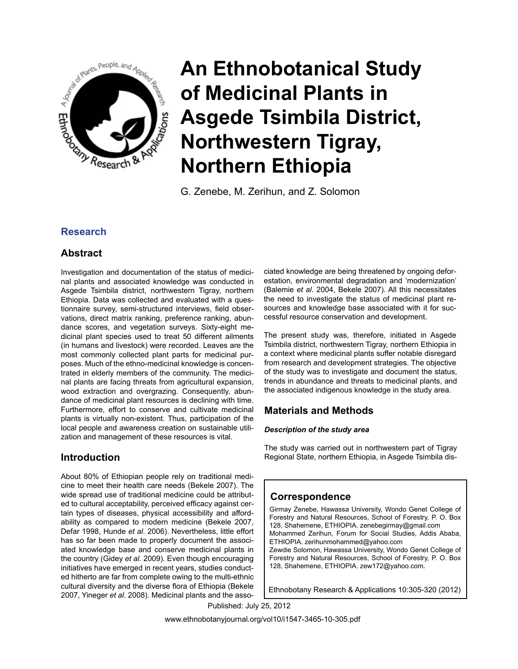

G. Zenebe, M. Zerihun, and Z. Solomon

# **Research**

# **Abstract**

Investigation and documentation of the status of medicinal plants and associated knowledge was conducted in Asgede Tsimbila district, northwestern Tigray, northern Ethiopia. Data was collected and evaluated with a questionnaire survey, semi-structured interviews, field observations, direct matrix ranking, preference ranking, abundance scores, and vegetation surveys. Sixty-eight medicinal plant species used to treat 50 different ailments (in humans and livestock) were recorded. Leaves are the most commonly collected plant parts for medicinal purposes. Much of the ethno-medicinal knowledge is concentrated in elderly members of the community. The medicinal plants are facing threats from agricultural expansion, wood extraction and overgrazing. Consequently, abundance of medicinal plant resources is declining with time. Furthermore, effort to conserve and cultivate medicinal plants is virtually non-existent. Thus, participation of the local people and awareness creation on sustainable utilization and management of these resources is vital.

# **Introduction**

About 80% of Ethiopian people rely on traditional medicine to meet their health care needs (Bekele 2007). The wide spread use of traditional medicine could be attributed to cultural acceptability, perceived efficacy against certain types of diseases, physical accessibility and affordability as compared to modern medicine (Bekele 2007, Defar 1998, Hunde *et al*. 2006). Nevertheless, little effort has so far been made to properly document the associated knowledge base and conserve medicinal plants in the country (Gidey *et al*. 2009). Even though encouraging initiatives have emerged in recent years, studies conducted hitherto are far from complete owing to the multi-ethnic cultural diversity and the diverse flora of Ethiopia (Bekele 2007, Yineger *et al*. 2008). Medicinal plants and the associated knowledge are being threatened by ongoing deforestation, environmental degradation and 'modernization' (Balemie *et al*. 2004, Bekele 2007). All this necessitates the need to investigate the status of medicinal plant resources and knowledge base associated with it for successful resource conservation and development.

The present study was, therefore, initiated in Asgede Tsimbila district, northwestern Tigray, northern Ethiopia in a context where medicinal plants suffer notable disregard from research and development strategies. The objective of the study was to investigate and document the status, trends in abundance and threats to medicinal plants, and the associated indigenous knowledge in the study area.

# **Materials and Methods**

## *Description of the study area*

The study was carried out in northwestern part of Tigray Regional State, northern Ethiopia, in Asgede Tsimbila dis-

# **Correspondence**

Girmay Zenebe, Hawassa University, Wondo Genet College of Forestry and Natural Resources, School of Forestry, P. O. Box 128, Shahemene, ETHIOPIA. zenebegirmay@gmail.com Mohammed Zerihun, Forum for Social Studies, Addis Ababa, ETHIOPIA. zerihunmohammed@yahoo.com Zewdie Solomon, Hawassa University, Wondo Genet College of Forestry and Natural Resources, School of Forestry, P. O. Box 128, Shahemene, ETHIOPIA. zew172@yahoo.com.

Ethnobotany Research & Applications 10:305-320 (2012)

Published: July 25, 2012

www.ethnobotanyjournal.org/vol10/i1547-3465-10-305.pdf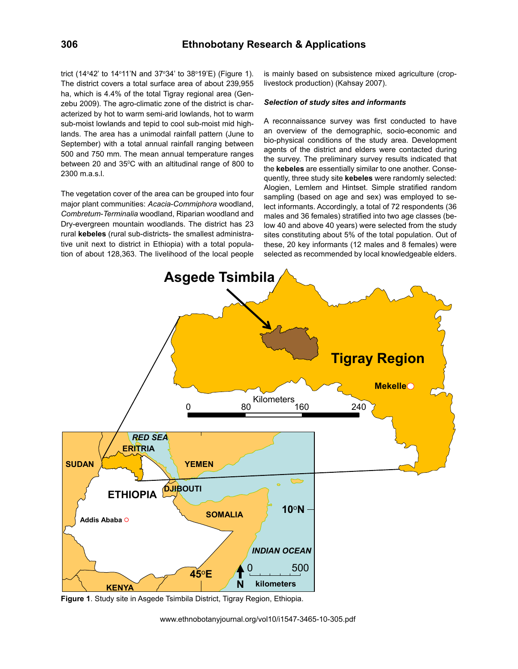trict (14°42' to 14°11'N and 37°34' to 38°19'E) (Figure 1). The district covers a total surface area of about 239,955 ha, which is 4.4% of the total Tigray regional area (Genzebu 2009). The agro-climatic zone of the district is characterized by hot to warm semi-arid lowlands, hot to warm sub-moist lowlands and tepid to cool sub-moist mid highlands. The area has a unimodal rainfall pattern (June to September) with a total annual rainfall ranging between 500 and 750 mm. The mean annual temperature ranges between 20 and 35°C with an altitudinal range of 800 to 2300 m.a.s.l.

The vegetation cover of the area can be grouped into four major plant communities: *Acacia*-*Commiphora* woodland, *Combretum*-*Terminalia* woodland, Riparian woodland and Dry-evergreen mountain woodlands. The district has 23 rural **kebeles** (rural sub-districts- the smallest administrative unit next to district in Ethiopia) with a total population of about 128,363. The livelihood of the local people

is mainly based on subsistence mixed agriculture (croplivestock production) (Kahsay 2007).

#### *Selection of study sites and informants*

A reconnaissance survey was first conducted to have an overview of the demographic, socio-economic and bio-physical conditions of the study area. Development agents of the district and elders were contacted during the survey. The preliminary survey results indicated that the **kebeles** are essentially similar to one another. Consequently, three study site **kebeles** were randomly selected: Alogien, Lemlem and Hintset. Simple stratified random sampling (based on age and sex) was employed to select informants. Accordingly, a total of 72 respondents (36 males and 36 females) stratified into two age classes (below 40 and above 40 years) were selected from the study sites constituting about 5% of the total population. Out of these, 20 key informants (12 males and 8 females) were selected as recommended by local knowledgeable elders.



**Figure 1**. Study site in Asgede Tsimbila District, Tigray Region, Ethiopia.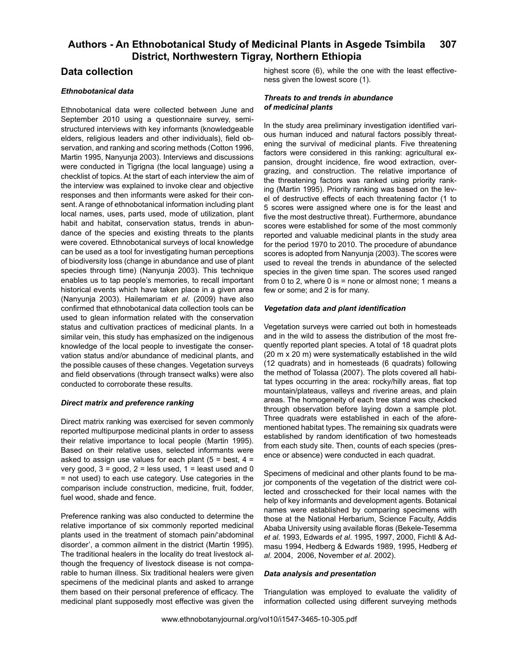## **Data collection**

#### *Ethnobotanical data*

Ethnobotanical data were collected between June and September 2010 using a questionnaire survey, semistructured interviews with key informants (knowledgeable elders, religious leaders and other individuals), field observation, and ranking and scoring methods (Cotton 1996, Martin 1995, Nanyunja 2003). Interviews and discussions were conducted in Tigrigna (the local language) using a checklist of topics. At the start of each interview the aim of the interview was explained to invoke clear and objective responses and then informants were asked for their consent. A range of ethnobotanical information including plant local names, uses, parts used, mode of utilization, plant habit and habitat, conservation status, trends in abundance of the species and existing threats to the plants were covered. Ethnobotanical surveys of local knowledge can be used as a tool for investigating human perceptions of biodiversity loss (change in abundance and use of plant species through time) (Nanyunja 2003). This technique enables us to tap people's memories, to recall important historical events which have taken place in a given area (Nanyunja 2003). Hailemariam *et al*. (2009) have also confirmed that ethnobotanical data collection tools can be used to glean information related with the conservation status and cultivation practices of medicinal plants. In a similar vein, this study has emphasized on the indigenous knowledge of the local people to investigate the conservation status and/or abundance of medicinal plants, and the possible causes of these changes. Vegetation surveys and field observations (through transect walks) were also conducted to corroborate these results.

#### *Direct matrix and preference ranking*

Direct matrix ranking was exercised for seven commonly reported multipurpose medicinal plants in order to assess their relative importance to local people (Martin 1995). Based on their relative uses, selected informants were asked to assign use values for each plant  $(5 = best, 4 =$ very good,  $3 =$  good,  $2 =$  less used,  $1 =$  least used and 0 = not used) to each use category. Use categories in the comparison include construction, medicine, fruit, fodder, fuel wood, shade and fence.

Preference ranking was also conducted to determine the relative importance of six commonly reported medicinal plants used in the treatment of stomach pain/'abdominal disorder', a common ailment in the district (Martin 1995). The traditional healers in the locality do treat livestock although the frequency of livestock disease is not comparable to human illness. Six traditional healers were given specimens of the medicinal plants and asked to arrange them based on their personal preference of efficacy. The medicinal plant supposedly most effective was given the

highest score (6), while the one with the least effectiveness given the lowest score (1).

#### *Threats to and trends in abundance of medicinal plants*

In the study area preliminary investigation identified various human induced and natural factors possibly threatening the survival of medicinal plants. Five threatening factors were considered in this ranking: agricultural expansion, drought incidence, fire wood extraction, overgrazing, and construction. The relative importance of the threatening factors was ranked using priority ranking (Martin 1995). Priority ranking was based on the level of destructive effects of each threatening factor (1 to 5 scores were assigned where one is for the least and five the most destructive threat). Furthermore, abundance scores were established for some of the most commonly reported and valuable medicinal plants in the study area for the period 1970 to 2010. The procedure of abundance scores is adopted from Nanyunja (2003). The scores were used to reveal the trends in abundance of the selected species in the given time span. The scores used ranged from 0 to 2, where 0 is  $=$  none or almost none; 1 means a few or some; and 2 is for many.

#### *Vegetation data and plant identification*

Vegetation surveys were carried out both in homesteads and in the wild to assess the distribution of the most frequently reported plant species. A total of 18 quadrat plots (20 m x 20 m) were systematically established in the wild (12 quadrats) and in homesteads (6 quadrats) following the method of Tolassa (2007). The plots covered all habitat types occurring in the area: rocky/hilly areas, flat top mountain/plateaus, valleys and riverine areas, and plain areas. The homogeneity of each tree stand was checked through observation before laying down a sample plot. Three quadrats were established in each of the aforementioned habitat types. The remaining six quadrats were established by random identification of two homesteads from each study site. Then, counts of each species (presence or absence) were conducted in each quadrat.

Specimens of medicinal and other plants found to be major components of the vegetation of the district were collected and crosschecked for their local names with the help of key informants and development agents. Botanical names were established by comparing specimens with those at the National Herbarium, Science Faculty, Addis Ababa University using available floras (Bekele-Tesemma *et al*. 1993, Edwards *et al*. 1995, 1997, 2000, Fichtl & Admasu 1994, Hedberg & Edwards 1989, 1995, Hedberg *et al*. 2004, 2006, November *et al*. 2002).

#### *Data analysis and presentation*

Triangulation was employed to evaluate the validity of information collected using different surveying methods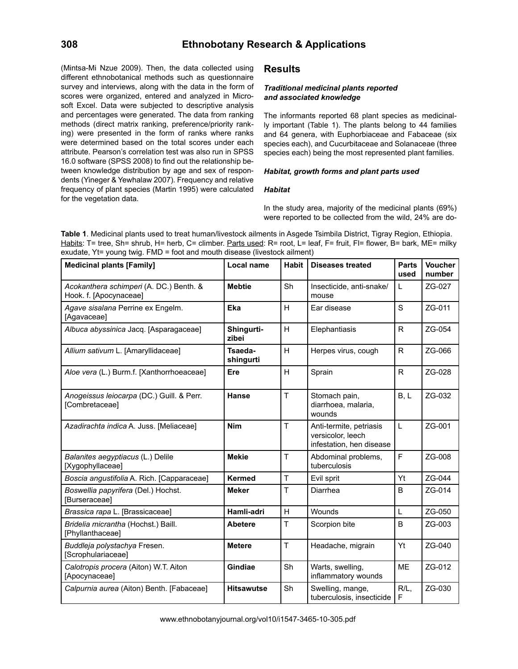(Mintsa-Mi Nzue 2009). Then, the data collected using different ethnobotanical methods such as questionnaire survey and interviews, along with the data in the form of scores were organized, entered and analyzed in Microsoft Excel. Data were subjected to descriptive analysis and percentages were generated. The data from ranking methods (direct matrix ranking, preference/priority ranking) were presented in the form of ranks where ranks were determined based on the total scores under each attribute. Pearson's correlation test was also run in SPSS 16.0 software (SPSS 2008) to find out the relationship between knowledge distribution by age and sex of respondents (Yineger & Yewhalaw 2007). Frequency and relative frequency of plant species (Martin 1995) were calculated for the vegetation data.

## **Results**

#### *Traditional medicinal plants reported and associated knowledge*

The informants reported 68 plant species as medicinally important (Table 1). The plants belong to 44 families and 64 genera, with Euphorbiaceae and Fabaceae (six species each), and Cucurbitaceae and Solanaceae (three species each) being the most represented plant families.

#### *Habitat, growth forms and plant parts used*

#### *Habitat*

In the study area, majority of the medicinal plants (69%) were reported to be collected from the wild, 24% are do-

**Table 1**. Medicinal plants used to treat human/livestock ailments in Asgede Tsimbila District, Tigray Region, Ethiopia. Habits: T= tree, Sh= shrub, H= herb, C= climber. Parts used: R= root, L= leaf, F= fruit, FI= flower, B= bark, ME= milky exudate, Yt= young twig. FMD = foot and mouth disease (livestock ailment)

| <b>Medicinal plants [Family]</b>                                  | Local name           | <b>Habit</b> | <b>Diseases treated</b>                                                  | <b>Parts</b><br>used | <b>Voucher</b><br>number |
|-------------------------------------------------------------------|----------------------|--------------|--------------------------------------------------------------------------|----------------------|--------------------------|
| Acokanthera schimperi (A. DC.) Benth. &<br>Hook. f. [Apocynaceae] | <b>Mebtie</b>        | Sh           | Insecticide, anti-snake/<br>mouse                                        | L                    | ZG-027                   |
| Agave sisalana Perrine ex Engelm.<br>[Agavaceae]                  | Eka                  | H            | Ear disease                                                              | S                    | ZG-011                   |
| Albuca abyssinica Jacq. [Asparagaceae]                            | Shingurti-<br>zibei  | H            | Elephantiasis                                                            | $\mathsf{R}$         | ZG-054                   |
| Allium sativum L. [Amaryllidaceae]                                | Tsaeda-<br>shingurti | H            | Herpes virus, cough                                                      | $\mathsf{R}$         | ZG-066                   |
| Aloe vera (L.) Burm.f. [Xanthorrhoeaceae]                         | Ere                  | H            | Sprain                                                                   | $\mathsf{R}$         | ZG-028                   |
| Anogeissus leiocarpa (DC.) Guill. & Perr.<br>[Combretaceae]       | Hanse                | T            | Stomach pain,<br>diarrhoea, malaria,<br>wounds                           | B, L                 | ZG-032                   |
| Azadirachta indica A. Juss. [Meliaceae]                           | <b>Nim</b>           | T            | Anti-termite, petriasis<br>versicolor, leech<br>infestation, hen disease | L                    | ZG-001                   |
| Balanites aegyptiacus (L.) Delile<br>[Xygophyllaceae]             | <b>Mekie</b>         | T            | Abdominal problems,<br>tuberculosis                                      | F                    | ZG-008                   |
| Boscia angustifolia A. Rich. [Capparaceae]                        | <b>Kermed</b>        | T            | Evil sprit                                                               | Yt                   | ZG-044                   |
| Boswellia papyrifera (Del.) Hochst.<br>[Burseraceae]              | <b>Meker</b>         | T            | Diarrhea                                                                 | B                    | ZG-014                   |
| Brassica rapa L. [Brassicaceae]                                   | Hamli-adri           | H            | Wounds                                                                   | L                    | ZG-050                   |
| Bridelia micrantha (Hochst.) Baill.<br>[Phyllanthaceae]           | <b>Abetere</b>       | T            | Scorpion bite                                                            | B                    | ZG-003                   |
| Buddleja polystachya Fresen.<br>[Scrophulariaceae]                | <b>Metere</b>        | T            | Headache, migrain                                                        | Yt                   | ZG-040                   |
| Calotropis procera (Aiton) W.T. Aiton<br>[Apocynaceae]            | Gindiae              | Sh           | Warts, swelling,<br>inflammatory wounds                                  | <b>ME</b>            | ZG-012                   |
| Calpurnia aurea (Aiton) Benth. [Fabaceae]                         | <b>Hitsawutse</b>    | Sh           | Swelling, mange,<br>tuberculosis, insecticide                            | $R/L$ ,<br>F         | ZG-030                   |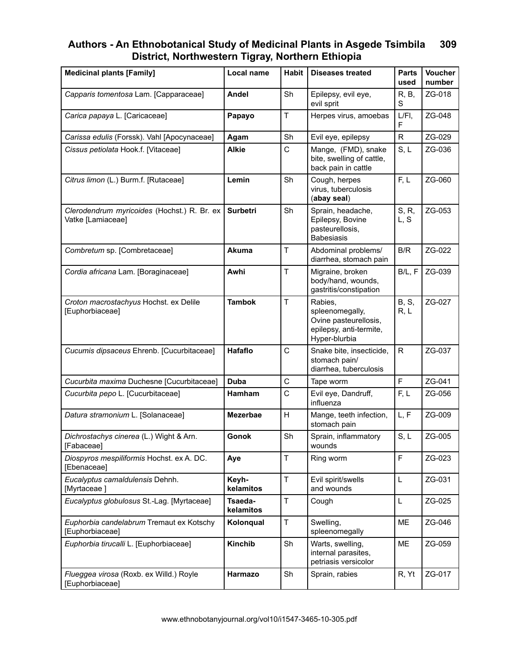| <b>Medicinal plants [Family]</b>                                 | Local name           | <b>Habit</b>                                                                                         | <b>Diseases treated</b>                                                                         | <b>Parts</b><br>used  | <b>Voucher</b><br>number |
|------------------------------------------------------------------|----------------------|------------------------------------------------------------------------------------------------------|-------------------------------------------------------------------------------------------------|-----------------------|--------------------------|
| Capparis tomentosa Lam. [Capparaceae]                            | <b>Andel</b>         | Sh                                                                                                   | Epilepsy, evil eye,<br>evil sprit                                                               | R, B,<br>S            | ZG-018                   |
| Carica papaya L. [Caricaceae]                                    | Papayo               | $\mathsf{T}$                                                                                         | Herpes virus, amoebas                                                                           | $L/FI$ ,<br>F         | ZG-048                   |
| Carissa edulis (Forssk). Vahl [Apocynaceae]                      | Agam                 | Sh                                                                                                   | Evil eye, epilepsy                                                                              | $\mathsf{R}$          | ZG-029                   |
| Cissus petiolata Hook.f. [Vitaceae]                              | <b>Alkie</b>         | $\mathsf{C}$                                                                                         | Mange, (FMD), snake<br>bite, swelling of cattle,<br>back pain in cattle                         | S, L                  | ZG-036                   |
| Citrus limon (L.) Burm.f. [Rutaceae]                             | Lemin                | Sh                                                                                                   | Cough, herpes<br>virus, tuberculosis<br>(abay seal)                                             | F, L                  | ZG-060                   |
| Clerodendrum myricoides (Hochst.) R. Br. ex<br>Vatke [Lamiaceae] | <b>Surbetri</b>      | Sh<br>Sprain, headache,<br>S, R,<br>Epilepsy, Bovine<br>L, S<br>pasteurellosis,<br><b>Babesiasis</b> |                                                                                                 |                       | ZG-053                   |
| Combretum sp. [Combretaceae]                                     | Akuma                | $\mathsf T$                                                                                          | Abdominal problems/<br>diarrhea, stomach pain                                                   | B/R                   | ZG-022                   |
| Cordia africana Lam. [Boraginaceae]                              | Awhi                 | $\mathsf T$                                                                                          | Migraine, broken<br>body/hand, wounds,<br>gastritis/constipation                                | B/L, F                | ZG-039                   |
| Croton macrostachyus Hochst. ex Delile<br>[Euphorbiaceae]        | <b>Tambok</b>        | $\mathsf T$                                                                                          | Rabies,<br>spleenomegally,<br>Ovine pasteurellosis,<br>epilepsy, anti-termite,<br>Hyper-blurbia | <b>B</b> , S,<br>R, L | ZG-027                   |
| Cucumis dipsaceus Ehrenb. [Cucurbitaceae]                        | Hafaflo              | C                                                                                                    | Snake bite, insecticide,<br>stomach pain/<br>diarrhea, tuberculosis                             | $\mathsf{R}$          | ZG-037                   |
| Cucurbita maxima Duchesne [Cucurbitaceae]                        | Duba                 | $\mathsf C$                                                                                          | Tape worm                                                                                       | F                     | ZG-041                   |
| Cucurbita pepo L. [Cucurbitaceae]                                | Hamham               | C                                                                                                    | Evil eye, Dandruff,<br>influenza                                                                | F, L                  | ZG-056                   |
| Datura stramonium L. [Solanaceae]                                | <b>Mezerbae</b>      | H                                                                                                    | Mange, teeth infection,<br>stomach pain                                                         | L, F                  | ZG-009                   |
| Dichrostachys cinerea (L.) Wight & Arn.<br>[Fabaceae]            | Gonok                | Sh                                                                                                   | Sprain, inflammatory<br>wounds                                                                  | S, L                  | ZG-005                   |
| Diospyros mespiliformis Hochst. ex A. DC.<br>[Ebenaceae]         | Aye                  | $\mathsf T$                                                                                          | Ring worm                                                                                       | F                     | ZG-023                   |
| Eucalyptus camaldulensis Dehnh.<br>[Myrtaceae]                   | Keyh-<br>kelamitos   | $\mathsf T$                                                                                          | Evil spirit/swells<br>and wounds                                                                |                       | ZG-031                   |
| Eucalyptus globulosus St.-Lag. [Myrtaceae]                       | Tsaeda-<br>kelamitos | $\top$                                                                                               | Cough                                                                                           | L                     | ZG-025                   |
| Euphorbia candelabrum Tremaut ex Kotschy<br>[Euphorbiaceae]      | Kolonqual            | $\top$                                                                                               | Swelling,<br>spleenomegally                                                                     | ME                    | ZG-046                   |
| Euphorbia tirucalli L. [Euphorbiaceae]                           | Kinchib              | Sh                                                                                                   | Warts, swelling,<br>internal parasites,<br>petriasis versicolor                                 | ME                    | ZG-059                   |
| Flueggea virosa (Roxb. ex Willd.) Royle<br>[Euphorbiaceae]       | Harmazo              | Sh                                                                                                   | Sprain, rabies                                                                                  | R, Yt                 | ZG-017                   |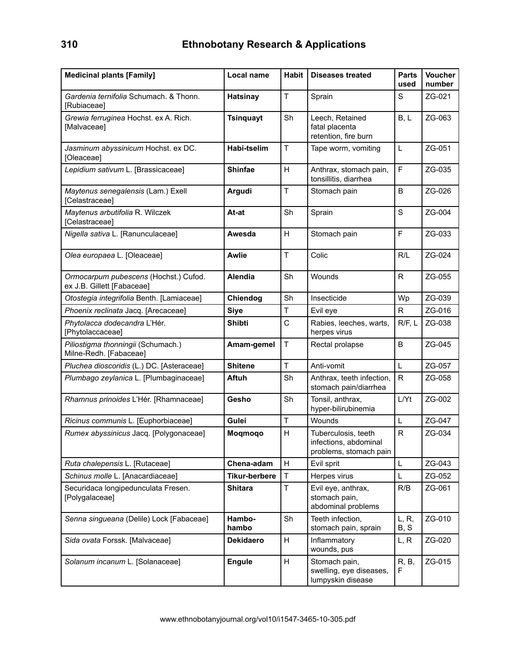| <b>Medicinal plants [Family]</b>                                    | Local name                                                        | <b>Habit</b>      | <b>Diseases treated</b>                                                | <b>Parts</b><br>used | <b>Voucher</b><br>number |
|---------------------------------------------------------------------|-------------------------------------------------------------------|-------------------|------------------------------------------------------------------------|----------------------|--------------------------|
| Gardenia ternifolia Schumach. & Thonn.<br>[Rubiaceae]               | <b>Hatsinay</b>                                                   | T                 | Sprain                                                                 | S                    | ZG-021                   |
| Grewia ferruginea Hochst. ex A. Rich.<br>[Malvaceae]                | <b>Tsinquayt</b>                                                  | Sh                | Leech, Retained<br>fatal placenta<br>retention, fire burn              | B, L                 | ZG-063                   |
| Jasminum abyssinicum Hochst. ex DC.<br>[Oleaceae]                   | <b>Habi-tselim</b>                                                | T                 | Tape worm, vomiting                                                    | L                    | ZG-051                   |
| Lepidium sativum L. [Brassicaceae]                                  | <b>Shinfae</b>                                                    | H                 | Anthrax, stomach pain,<br>tonsillitis, diarrhea                        | $\mathsf{F}$         | ZG-035                   |
| Maytenus senegalensis (Lam.) Exell<br>[Celastraceae]                | T<br>Argudi<br>Stomach pain                                       |                   | B                                                                      | ZG-026               |                          |
| Maytenus arbutifolia R. Wilczek<br>[Celastraceae]                   | Sh<br>At-at<br>Sprain                                             |                   | S                                                                      | ZG-004               |                          |
| Nigella sativa L. [Ranunculaceae]                                   | Awesda                                                            | H<br>Stomach pain |                                                                        | F                    | ZG-033                   |
| Olea europaea L. [Oleaceae]                                         | T<br>Colic<br>Awlie                                               |                   | R/L                                                                    | ZG-024               |                          |
| Ormocarpum pubescens (Hochst.) Cufod.<br>ex J.B. Gillett [Fabaceae] | Sh<br><b>Alendia</b><br>Wounds                                    |                   | R                                                                      | ZG-055               |                          |
| Otostegia integrifolia Benth. [Lamiaceae]                           | Chiendog<br>Sh<br>Insecticide                                     |                   | Wp                                                                     | ZG-039               |                          |
| Phoenix reclinata Jacq. [Arecaceae]                                 | T<br>Evil eye<br><b>Siye</b>                                      |                   |                                                                        | ${\sf R}$            | ZG-016                   |
| Phytolacca dodecandra L'Hér.<br>[Phytolaccaceae]                    | <b>Shibti</b>                                                     | C                 | Rabies, leeches, warts,<br>herpes virus                                | R/F, L               | ZG-038                   |
| Piliostigma thonningii (Schumach.)<br>Milne-Redh. [Fabaceae]        | Amam-gemel                                                        | T                 | Rectal prolapse                                                        | B                    | ZG-045                   |
| Pluchea dioscoridis (L.) DC. [Asteraceae]                           | <b>Shitene</b>                                                    | T                 | Anti-vomit                                                             | L                    | ZG-057                   |
| Plumbago zeylanica L. [Plumbaginaceae]                              | <b>Aftuh</b>                                                      | Sh                | Anthrax, teeth infection,<br>stomach pain/diarrhea                     | $\mathsf{R}$         | ZG-058                   |
| Rhamnus prinoides L'Hér. [Rhamnaceae]                               | Gesho                                                             | Sh                | Tonsil, anthrax,<br>hyper-bilirubinemia                                | L/Yt                 | ZG-002                   |
| Ricinus communis L. [Euphorbiaceae]                                 | Gulei                                                             | T                 | Wounds                                                                 | L                    | ZG-047                   |
| Rumex abyssinicus Jacq. [Polygonaceae]                              | Moqmoqo                                                           | н                 | Tuberculosis, teeth<br>infections, abdominal<br>problems, stomach pain | $\mathsf{R}$         | ZG-034                   |
| Ruta chalepensis L. [Rutaceae]                                      | Chena-adam                                                        | H                 | Evil sprit                                                             | L                    | ZG-043                   |
| Schinus molle L. [Anacardiaceae]                                    | <b>Tikur-berbere</b>                                              | T                 | Herpes virus                                                           | L                    | ZG-052                   |
| Securidaca longipedunculata Fresen.<br>[Polygalaceae]               | <b>Shitara</b>                                                    | T                 | Evil eye, anthrax,<br>stomach pain,<br>abdominal problems              | R/B                  | ZG-061                   |
| Senna singueana (Delile) Lock [Fabaceae]                            | Sh<br>Hambo-<br>Teeth infection,<br>hambo<br>stomach pain, sprain |                   |                                                                        | L, R,<br>B, S        | ZG-010                   |
| Sida ovata Forssk. [Malvaceae]                                      | <b>Dekidaero</b>                                                  | H                 | Inflammatory<br>wounds, pus                                            | L, R                 | ZG-020                   |
| Solanum incanum L. [Solanaceae]                                     | <b>Engule</b>                                                     | H                 | Stomach pain,<br>swelling, eye diseases,<br>lumpyskin disease          | R, B,<br>F           | ZG-015                   |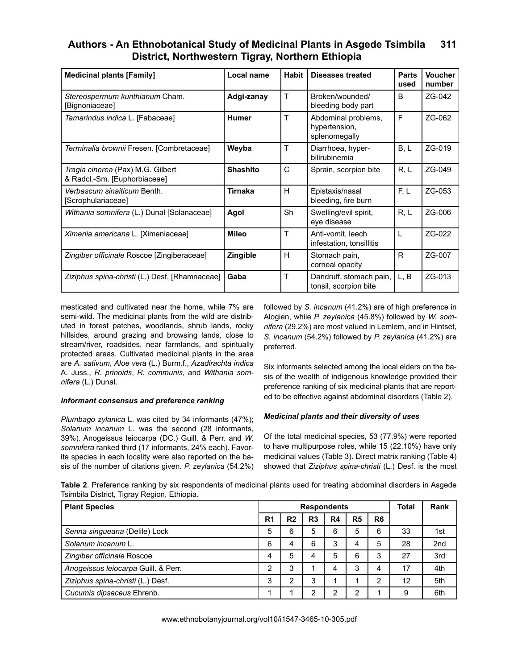| <b>Medicinal plants [Family]</b>                                  | Local name      | Habit | Diseases treated                                      | Parts<br>used | <b>Voucher</b><br>number |
|-------------------------------------------------------------------|-----------------|-------|-------------------------------------------------------|---------------|--------------------------|
| Stereospermum kunthianum Cham.<br>[Bignoniaceae]                  | Adgi-zanay      | T     | Broken/wounded/<br>bleeding body part                 | B             | ZG-042                   |
| Tamarindus indica L. [Fabaceae]                                   | <b>Humer</b>    | T     | Abdominal problems,<br>hypertension,<br>splenomegally | F             | ZG-062                   |
| Terminalia brownii Fresen. [Combretaceae]                         | Weyba           | Т     | Diarrhoea, hyper-<br>bilirubinemia                    | B, L          | ZG-019                   |
| Tragia cinerea (Pax) M.G. Gilbert<br>& Radcl.-Sm. [Euphorbiaceae] | <b>Shashito</b> | C     | Sprain, scorpion bite                                 | R, L          | ZG-049                   |
| Verbascum sinaiticum Benth.<br>[Scrophulariaceae]                 | Tirnaka         | H     | Epistaxis/nasal<br>bleeding, fire burn                | F, L          | ZG-053                   |
| Withania somnifera (L.) Dunal [Solanaceae]                        | Agol            | Sh    | Swelling/evil spirit,<br>eye disease                  | R, L          | ZG-006                   |
| Ximenia americana L. [Ximeniaceae]                                | <b>Mileo</b>    | T     | Anti-vomit, leech<br>infestation, tonsillitis         |               | ZG-022                   |
| Zingiber officinale Roscoe [Zingiberaceae]                        | <b>Zingible</b> | H     | Stomach pain,<br>corneal opacity                      | R             | ZG-007                   |
| Ziziphus spina-christi (L.) Desf. [Rhamnaceae]                    | Gaba            | T     | Dandruff, stomach pain,<br>tonsil, scorpion bite      | L.B           | ZG-013                   |

mesticated and cultivated near the home, while 7% are semi-wild. The medicinal plants from the wild are distributed in forest patches, woodlands, shrub lands, rocky hillsides, around grazing and browsing lands, close to stream/river, roadsides, near farmlands, and spiritually protected areas. Cultivated medicinal plants in the area are *A. sativum*, *Aloe vera* (L.) Burm.f., *Azadirachta indica* A. Juss., *R. prinoids*, *R. communis*, and *Withania somnifera* (L.) Dunal.

#### *Informant consensus and preference ranking*

*Plumbago zylanica* L. was cited by 34 informants (47%); *Solanum incanum* L. was the second (28 informants, 39%). Anogeissus leiocarpa (DC.) Guill. & Perr. and *W. somnifera* ranked third (17 informants, 24% each). Favorite species in each locality were also reported on the basis of the number of citations given. *P. zeylanica* (54.2%) followed by *S. incanum* (41.2%) are of high preference in Alogien, while *P. zeylanica* (45.8%) followed by *W. somnifera* (29.2%) are most valued in Lemlem, and in Hintset, *S. incanum* (54.2%) followed by *P. zeylanica* (41.2%) are preferred.

Six informants selected among the local elders on the basis of the wealth of indigenous knowledge provided their preference ranking of six medicinal plants that are reported to be effective against abdominal disorders (Table 2).

### *Medicinal plants and their diversity of uses*

Of the total medicinal species, 53 (77.9%) were reported to have multipurpose roles, while 15 (22.10%) have only medicinal values (Table 3). Direct matrix ranking (Table 4) showed that *Ziziphus spina-christi* (L.) Desf. is the most

**Table 2**. Preference ranking by six respondents of medicinal plants used for treating abdominal disorders in Asgede Tsimbila District, Tigray Region, Ethiopia.

| <b>Plant Species</b>                |                |                | <b>Respondents</b> |    | <b>Total</b>   | Rank           |    |                 |
|-------------------------------------|----------------|----------------|--------------------|----|----------------|----------------|----|-----------------|
|                                     | R <sub>1</sub> | R <sub>2</sub> | R <sub>3</sub>     | R4 | R <sub>5</sub> | R <sub>6</sub> |    |                 |
| Senna singueana (Delile) Lock       | 5              | 6              | 5                  | 6  | 5              | 6              | 33 | 1st             |
| Solanum incanum L.                  | 6              |                | 6                  | 3  | 4              | 5              | 28 | 2 <sub>nd</sub> |
| Zingiber officinale Roscoe          | 4              | 5              | 4                  | 5  | 6              | 3              | 27 | 3rd             |
| Anogeissus leiocarpa Guill. & Perr. | ◠              | 3              |                    | 4  | 3              | 4              | 17 | 4th             |
| Ziziphus spina-christi (L.) Desf.   | 3              | ົ              | 3                  |    |                | $\mathbf{2}$   | 12 | 5th             |
| Cucumis dipsaceus Ehrenb.           |                |                | 2                  | ົ  | 2              |                | 9  | 6th             |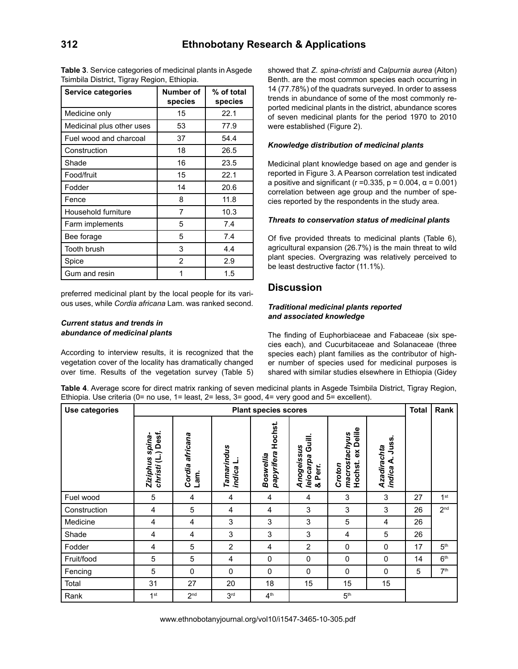| <b>Service categories</b> | Number of<br>species | % of total<br>species |
|---------------------------|----------------------|-----------------------|
| Medicine only             | 15                   | 22.1                  |
| Medicinal plus other uses | 53                   | 77.9                  |
| Fuel wood and charcoal    | 37                   | 54.4                  |
| Construction              | 18                   | 26.5                  |
| Shade                     | 16                   | 23.5                  |
| Food/fruit                | 15                   | 22.1                  |
| Fodder                    | 14                   | 20.6                  |
| Fence                     | 8                    | 11.8                  |
| Household furniture       | 7                    | 10.3                  |
| Farm implements           | 5                    | 7.4                   |
| Bee forage                | 5                    | 7.4                   |
| Tooth brush               | 3                    | 4.4                   |
| Spice                     | 2                    | 2.9                   |
| Gum and resin             |                      | 1.5                   |

**Table 3**. Service categories of medicinal plants in Asgede Tsimbila District, Tigray Region, Ethiopia.

preferred medicinal plant by the local people for its various uses, while *Cordia africana* Lam. was ranked second.

#### *Current status and trends in abundance of medicinal plants*

According to interview results, it is recognized that the vegetation cover of the locality has dramatically changed over time. Results of the vegetation survey (Table 5) showed that *Z. spina-christi* and *Calpurnia aurea* (Aiton) Benth. are the most common species each occurring in 14 (77.78%) of the quadrats surveyed. In order to assess trends in abundance of some of the most commonly reported medicinal plants in the district, abundance scores of seven medicinal plants for the period 1970 to 2010 were established (Figure 2).

#### *Knowledge distribution of medicinal plants*

Medicinal plant knowledge based on age and gender is reported in Figure 3. A Pearson correlation test indicated a positive and significant ( $r = 0.335$ ,  $p = 0.004$ ,  $\alpha = 0.001$ ) correlation between age group and the number of species reported by the respondents in the study area.

#### *Threats to conservation status of medicinal plants*

Of five provided threats to medicinal plants (Table 6), agricultural expansion (26.7%) is the main threat to wild plant species. Overgrazing was relatively perceived to be least destructive factor (11.1%).

## **Discussion**

#### *Traditional medicinal plants reported and associated knowledge*

The finding of Euphorbiaceae and Fabaceae (six species each), and Cucurbitaceae and Solanaceae (three species each) plant families as the contributor of higher number of species used for medicinal purposes is shared with similar studies elsewhere in Ethiopia (Gidey

**Table 4**. Average score for direct matrix ranking of seven medicinal plants in Asgede Tsimbila District, Tigray Region, Ethiopia. Use criteria (0= no use, 1= least, 2= less, 3= good, 4= very good and 5= excellent).

| Use categories |                                             |                         | <b>Total</b>            | Rank                               |                                              |                                                   |                                     |    |                 |
|----------------|---------------------------------------------|-------------------------|-------------------------|------------------------------------|----------------------------------------------|---------------------------------------------------|-------------------------------------|----|-----------------|
|                | Desf.<br>spina-<br>christi (L.)<br>Ziziphus | Cordia africana<br>Lam. | Tamarindus<br>indica L. | Hochst.<br>papyrifera<br>Boswellia | Guill.<br>Anogeissus<br>leiocarpa<br>& Perr. | Delile<br>macrostachyus<br>ă<br>Hochst.<br>Croton | Juss.<br>Azadirachta<br>∢<br>indica |    |                 |
| Fuel wood      | 5                                           | 4                       | 4                       | 4                                  | 4                                            | 3                                                 | 3                                   | 27 | 1 <sup>st</sup> |
| Construction   | 4                                           | 5                       | 4                       | 4                                  | 3                                            | 3                                                 | 3                                   | 26 | 2 <sub>nd</sub> |
| Medicine       | 4                                           | 4                       | 3                       | 3                                  | 3                                            | 5                                                 | 4                                   | 26 |                 |
| Shade          | 4                                           | 4                       | 3                       | 3                                  | 3                                            | 4                                                 | 5                                   | 26 |                 |
| Fodder         | 4                                           | 5                       | 2                       | 4                                  | 2                                            | 0                                                 | 0                                   | 17 | 5 <sup>th</sup> |
| Fruit/food     | 5                                           | 5                       | 4                       | 0                                  | 0                                            | 0                                                 | 0                                   | 14 | 6 <sup>th</sup> |
| Fencing        | 5                                           | 0                       | $\mathbf 0$             | $\mathbf 0$                        | $\mathbf 0$                                  | 0                                                 | 0                                   | 5  | 7 <sup>th</sup> |
| Total          | 31                                          | 27                      | 20                      | 18                                 | 15                                           | 15                                                | 15                                  |    |                 |
| Rank           | 1 <sup>st</sup>                             | 2 <sub>nd</sub>         | 3 <sup>rd</sup>         | 4 <sup>th</sup>                    |                                              | 5 <sup>th</sup>                                   |                                     |    |                 |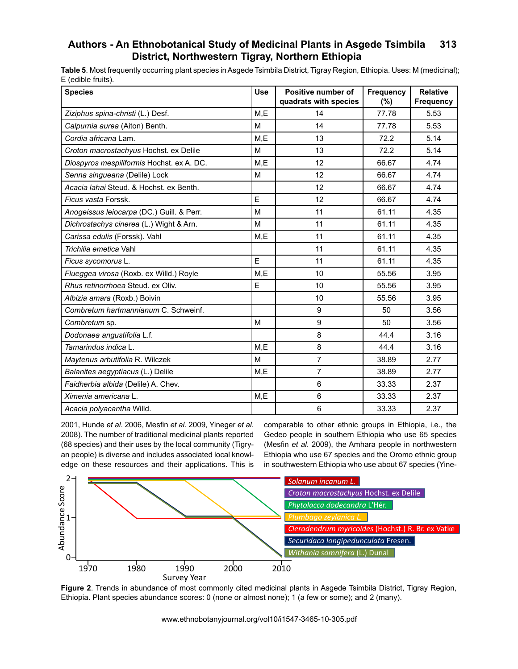**Table 5**. Most frequently occurring plant species in Asgede Tsimbila District, Tigray Region, Ethiopia. Uses: M (medicinal); E (edible fruits).

| <b>Species</b>                            | <b>Use</b> | Positive number of<br>quadrats with species | <b>Frequency</b><br>(%) | <b>Relative</b><br><b>Frequency</b> |
|-------------------------------------------|------------|---------------------------------------------|-------------------------|-------------------------------------|
| Ziziphus spina-christi (L.) Desf.         | M,E        | 14                                          | 77.78                   | 5.53                                |
| Calpurnia aurea (Aiton) Benth.            | M          | 14                                          | 77.78                   | 5.53                                |
| Cordia africana Lam.                      | M,E        | 13                                          | 72.2                    | 5.14                                |
| Croton macrostachyus Hochst. ex Delile    | M          | 13                                          | 72.2                    | 5.14                                |
| Diospyros mespiliformis Hochst. ex A. DC. | M,E        | 12                                          | 66.67                   | 4.74                                |
| Senna singueana (Delile) Lock             | M          | 12                                          | 66.67                   | 4.74                                |
| Acacia lahai Steud. & Hochst. ex Benth.   |            | 12                                          | 66.67                   | 4.74                                |
| Ficus vasta Forssk.                       | E          | 12                                          | 66.67                   | 4.74                                |
| Anogeissus leiocarpa (DC.) Guill. & Perr. | M          | 11                                          | 61.11                   | 4.35                                |
| Dichrostachys cinerea (L.) Wight & Arn.   | M          | 11                                          | 61.11                   | 4.35                                |
| Carissa edulis (Forssk). Vahl             | M,E        | 11                                          | 61.11                   | 4.35                                |
| Trichilia emetica Vahl                    |            | 11                                          | 61.11                   | 4.35                                |
| Ficus sycomorus L.                        | E          | 11                                          | 61.11                   | 4.35                                |
| Flueggea virosa (Roxb. ex Willd.) Royle   | M.E        | 10                                          | 55.56                   | 3.95                                |
| Rhus retinorrhoea Steud, ex Oliv.         | E          | 10                                          | 55.56                   | 3.95                                |
| Albizia amara (Roxb.) Boivin              |            | 10                                          | 55.56                   | 3.95                                |
| Combretum hartmannianum C. Schweinf.      |            | 9                                           | 50                      | 3.56                                |
| Combretum sp.                             | M          | 9                                           | 50                      | 3.56                                |
| Dodonaea angustifolia L.f.                |            | 8                                           | 44.4                    | 3.16                                |
| Tamarindus indica L.                      | M.E        | 8                                           | 44.4                    | 3.16                                |
| Maytenus arbutifolia R. Wilczek           | M          | $\overline{7}$                              | 38.89                   | 2.77                                |
| Balanites aegyptiacus (L.) Delile         | M,E        | 7                                           | 38.89                   | 2.77                                |
| Faidherbia albida (Delile) A. Chev.       |            | 6                                           | 33.33                   | 2.37                                |
| Ximenia americana L.                      | M,E        | 6                                           | 33.33                   | 2.37                                |
| Acacia polyacantha Willd.                 |            | 6                                           | 33.33                   | 2.37                                |

2001, Hunde *et al.* 2006, Mesfin *et al.* 2009, Yineger *et al.* 2008). The number of traditional medicinal plants reported (68 species) and their uses by the local community (Tigryan people) is diverse and includes associated local knowledge on these resources and their applications. This is

comparable to other ethnic groups in Ethiopia, i.e., the contract of the contract of the contract of the contract of the contract of the contract of the contract of the contract of the contract of the contract of the contr Gedeo people in southern Ethiopia who use 65 species (Mesfin *et al*. 2009), the Amhara people in northwestern Ethiopia who use 67 species and the Oromo ethnic group in southwestern Ethiopia who use about 67 species (Yine-



Figure 2. Trends in abundance of most commonly cited medicinal plants in Asgede Tsimbila District, Tigray Region, Ethiopia. Plant species abundance scores: 0 (none or almost none); 1 (a few or some); and 2 (many).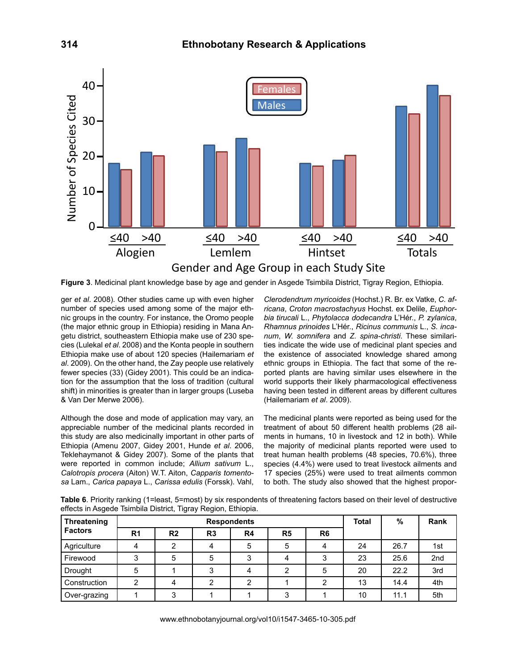

**Figure 3**. Medicinal plant knowledge base by age and gender in Asgede Tsimbila District, Tigray Region, Ethiopia.

ger *et al.* 2008). Other studies came up with even higher pumper of species used among agme of the major of h number of species used among some of the major ethnic groups in the country. For instance, the Oromo people (the major ethnic group in Ethiopia) residing in Mana Angetu district, southeastern Ethiopia make use of 230 species (Lulekal *et al*. 2008) and the Konta people in southern Ethiopia make use of about 120 species (Hailemariam *et al*. 2009). On the other hand, the Zay people use relatively fewer species (33) (Gidey 2001). This could be an indication for the assumption that the loss of tradition (cultural shift) in minorities is greater than in larger groups (Luseba & Van Der Merwe 2006).

Although the dose and mode of application may vary, an appreciable number of the medicinal plants recorded in this study are also medicinally important in other parts of Ethiopia (Amenu 2007, Gidey 2001, Hunde *et al*. 2006, Teklehaymanot & Gidey 2007). Some of the plants that were reported in common include; *Allium sativum* L., *Calotropis procera* (Aiton) W.T. Aiton, *Capparis tomentosa* Lam., *Carica papaya* L., *Carissa edulis* (Forssk). Vahl,

*Clerodendrum myricoides* (Hochst.) R. Br. ex Vatke, *C. africana*, *Croton macrostachyus* Hochst. ex Delile, *Euphorbia tirucali* L., *Phytolacca dodecandra* L'Hér., *P. zylanica*, *Rhamnus prinoides* L'Hér., *Ricinus communis* L., *S. incanum*, *W. somnifera* and *Z. spina-christi*. These similarities indicate the wide use of medicinal plant species and the existence of associated knowledge shared among ethnic groups in Ethiopia. The fact that some of the reported plants are having similar uses elsewhere in the world supports their likely pharmacological effectiveness having been tested in different areas by different cultures (Hailemariam *et al*. 2009).

The medicinal plants were reported as being used for the treatment of about 50 different health problems (28 ailments in humans, 10 in livestock and 12 in both). While the majority of medicinal plants reported were used to treat human health problems (48 species, 70.6%), three species (4.4%) were used to treat livestock ailments and 17 species (25%) were used to treat ailments common to both. The study also showed that the highest propor-

**Table 6**. Priority ranking (1=least, 5=most) by six respondents of threatening factors based on their level of destructive effects in Asgede Tsimbila District, Tigray Region, Ethiopia.

| <b>Threatening</b> |                |                | <b>Respondents</b> |    | Total          | %              | Rank |      |     |
|--------------------|----------------|----------------|--------------------|----|----------------|----------------|------|------|-----|
| <b>Factors</b>     | R <sub>1</sub> | R <sub>2</sub> | R <sub>3</sub>     | R4 | R <sub>5</sub> | R <sub>6</sub> |      |      |     |
| Agriculture        |                |                | 4                  | 5  | 5              | 4              | 24   | 26.7 | 1st |
| Firewood           | 3              | 5              | 5                  | 3  | 4              | 3              | 23   | 25.6 | 2nd |
| <b>Drought</b>     | 5              |                | 3                  | 4  | ◠              | 5              | 20   | 22.2 | 3rd |
| Construction       | $\overline{2}$ |                | ົ                  | ົ  |                | ົ              | 13   | 14.4 | 4th |
| Over-grazing       |                | ົ              |                    |    | ົ              |                | 10   | 11.1 | 5th |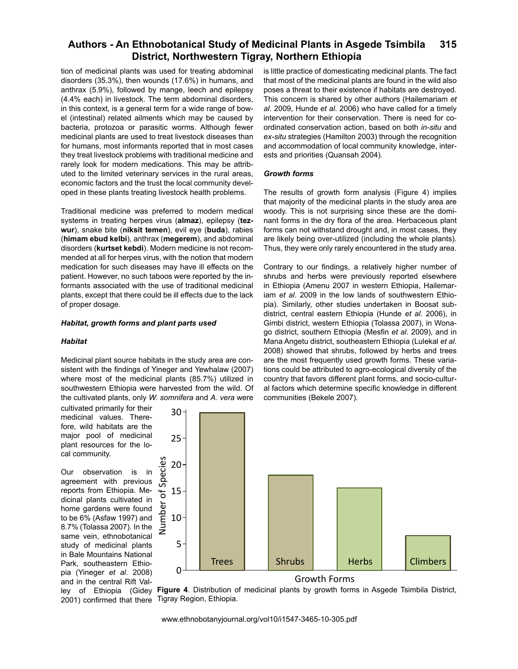tion of medicinal plants was used for treating abdominal disorders (35.3%), then wounds (17.6%) in humans, and anthrax (5.9%), followed by mange, leech and epilepsy (4.4% each) in livestock. The term abdominal disorders, in this context, is a general term for a wide range of bowel (intestinal) related ailments which may be caused by bacteria, protozoa or parasitic worms. Although fewer medicinal plants are used to treat livestock diseases than for humans, most informants reported that in most cases they treat livestock problems with traditional medicine and rarely look for modern medications. This may be attributed to the limited veterinary services in the rural areas, economic factors and the trust the local community developed in these plants treating livestock health problems.

Traditional medicine was preferred to modern medical systems in treating herpes virus (**almaz**), epilepsy (**tezwur**), snake bite (**niksit temen**), evil eye (**buda**), rabies (**himam ebud kelbi**), anthrax (**megerem**), and abdominal disorders (**kurtset kebdi**). Modern medicine is not recommended at all for herpes virus, with the notion that modern medication for such diseases may have ill effects on the patient. However, no such taboos were reported by the informants associated with the use of traditional medicinal plants, except that there could be ill effects due to the lack of proper dosage.

#### *Habitat, growth forms and plant parts used*

#### *Habitat*

Medicinal plant source habitats in the study area are consistent with the findings of Yineger and Yewhalaw (2007) 0 5 where most of the medicinal plants (85.7%) utilized in southwestern Ethiopia were harvested from the wild. Of the cultivated plants, only *W. somnifera* and *A. vera* were **Number of species**

cultivated primarily for their medicinal values. Therefore, wild habitats are the major pool of medicinal plant resources for the lo-<br>cal community. cal community. Fris, it<br>Growth Tared<br>the theory

Our observation is in agreement with previous reports from Ethiopia. Medicinal plants cultivated in home gardens were found to be 6% (Asfaw 1997) and 8.7% (Tolassa 2007). In the same vein, ethnobotanical study of medicinal plants in Bale Mountains National Park, southeastern Ethiorank, southeastern Ethio-<br>pia (Yineger *et al.* 2008) and in the central Rift Valley of Ethiopia (Gidey 2001) confirmed that there age thist and the final details for this controller and the final details for a security for a security of a security of a security of a security of a security of a security of a security of a security of a security of a

is little practice of domesticating medicinal plants. The fact that most of the medicinal plants are found in the wild also poses a threat to their existence if habitats are destroyed. This concern is shared by other authors (Hailemariam *et al*. 2009, Hunde *et al*. 2006) who have called for a timely intervention for their conservation. There is need for coordinated conservation action, based on both *in-situ* and *ex-situ* strategies (Hamilton 2003) through the recognition and accommodation of local community knowledge, interests and priorities (Quansah 2004).

#### *Growth forms*

The results of growth form analysis (Figure 4) implies that majority of the medicinal plants in the study area are woody. This is not surprising since these are the dominant forms in the dry flora of the area. Herbaceous plant forms can not withstand drought and, in most cases, they are likely being over-utilized (including the whole plants). Thus, they were only rarely encountered in the study area.

Contrary to our findings, a relatively higher number of shrubs and herbs were previously reported elsewhere in Ethiopia (Amenu 2007 in western Ethiopia, Hailemariam *et al*. 2009 in the low lands of southwestern Ethiopia). Similarly, other studies undertaken in Boosat subdistrict, central eastern Ethiopia (Hunde *et al*. 2006), in Gimbi district, western Ethiopia (Tolassa 2007), in Wonago district, southern Ethiopia (Mesfin *et al*. 2009), and in Mana Angetu district, southeastern Ethiopia (Lulekal *et al*. mand Angela district, southcastern Ethiopia (Edicital of dr.<br>2008) showed that shrubs, followed by herbs and trees are the most frequently used growth forms. These variations could be attributed to agro-ecological diversity of the country that favors different plant forms, and socio-cultural factors which determine specific knowledge in different communities (Bekele 2007).





www.ethnobotanyjournal.org/vol10/i1547-3465-10-305.pdf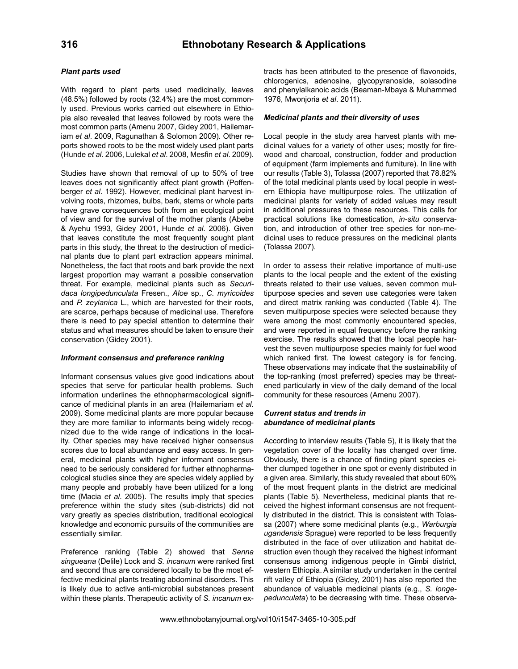#### *Plant parts used*

With regard to plant parts used medicinally, leaves (48.5%) followed by roots (32.4%) are the most commonly used. Previous works carried out elsewhere in Ethiopia also revealed that leaves followed by roots were the most common parts (Amenu 2007, Gidey 2001, Hailemariam *et al*. 2009, Ragunathan & Solomon 2009). Other reports showed roots to be the most widely used plant parts (Hunde *et al*. 2006, Lulekal *et al*. 2008, Mesfin *et al*. 2009).

Studies have shown that removal of up to 50% of tree leaves does not significantly affect plant growth (Poffenberger *et al*. 1992). However, medicinal plant harvest involving roots, rhizomes, bulbs, bark, stems or whole parts have grave consequences both from an ecological point of view and for the survival of the mother plants (Abebe & Ayehu 1993, Gidey 2001, Hunde *et al*. 2006). Given that leaves constitute the most frequently sought plant parts in this study, the threat to the destruction of medicinal plants due to plant part extraction appears minimal. Nonetheless, the fact that roots and bark provide the next largest proportion may warrant a possible conservation threat. For example, medicinal plants such as *Securidaca longipedunculata* Fresen., *Aloe* sp., *C. myricoides*  and *P. zeylanica* L., which are harvested for their roots, are scarce, perhaps because of medicinal use. Therefore there is need to pay special attention to determine their status and what measures should be taken to ensure their conservation (Gidey 2001).

#### *Informant consensus and preference ranking*

Informant consensus values give good indications about species that serve for particular health problems. Such information underlines the ethnopharmacological significance of medicinal plants in an area (Hailemariam *et al*. 2009). Some medicinal plants are more popular because they are more familiar to informants being widely recognized due to the wide range of indications in the locality. Other species may have received higher consensus scores due to local abundance and easy access. In general, medicinal plants with higher informant consensus need to be seriously considered for further ethnopharmacological studies since they are species widely applied by many people and probably have been utilized for a long time (Macia *et al*. 2005). The results imply that species preference within the study sites (sub-districts) did not vary greatly as species distribution, traditional ecological knowledge and economic pursuits of the communities are essentially similar.

Preference ranking (Table 2) showed that *Senna singueana* (Delile) Lock and *S. incanum* were ranked first and second thus are considered locally to be the most effective medicinal plants treating abdominal disorders. This is likely due to active anti-microbial substances present within these plants. Therapeutic activity of *S. incanum* extracts has been attributed to the presence of flavonoids, chlorogenics, adenosine, glycopyranoside, solasodine and phenylalkanoic acids (Beaman-Mbaya & Muhammed 1976, Mwonjoria *et al*. 2011).

#### *Medicinal plants and their diversity of uses*

Local people in the study area harvest plants with medicinal values for a variety of other uses; mostly for firewood and charcoal, construction, fodder and production of equipment (farm implements and furniture). In line with our results (Table 3), Tolassa (2007) reported that 78.82% of the total medicinal plants used by local people in western Ethiopia have multipurpose roles. The utilization of medicinal plants for variety of added values may result in additional pressures to these resources. This calls for practical solutions like domestication, *in-situ* conservation, and introduction of other tree species for non-medicinal uses to reduce pressures on the medicinal plants (Tolassa 2007).

In order to assess their relative importance of multi-use plants to the local people and the extent of the existing threats related to their use values, seven common multipurpose species and seven use categories were taken and direct matrix ranking was conducted (Table 4). The seven multipurpose species were selected because they were among the most commonly encountered species, and were reported in equal frequency before the ranking exercise. The results showed that the local people harvest the seven multipurpose species mainly for fuel wood which ranked first. The lowest category is for fencing. These observations may indicate that the sustainability of the top-ranking (most preferred) species may be threatened particularly in view of the daily demand of the local community for these resources (Amenu 2007).

#### *Current status and trends in abundance of medicinal plants*

According to interview results (Table 5), it is likely that the vegetation cover of the locality has changed over time. Obviously, there is a chance of finding plant species either clumped together in one spot or evenly distributed in a given area. Similarly, this study revealed that about 60% of the most frequent plants in the district are medicinal plants (Table 5). Nevertheless, medicinal plants that received the highest informant consensus are not frequently distributed in the district. This is consistent with Tolassa (2007) where some medicinal plants (e.g., *Warburgia ugandensis* Sprague) were reported to be less frequently distributed in the face of over utilization and habitat destruction even though they received the highest informant consensus among indigenous people in Gimbi district, western Ethiopia. A similar study undertaken in the central rift valley of Ethiopia (Gidey, 2001) has also reported the abundance of valuable medicinal plants (e.g., *S. longepedunculata*) to be decreasing with time. These observa-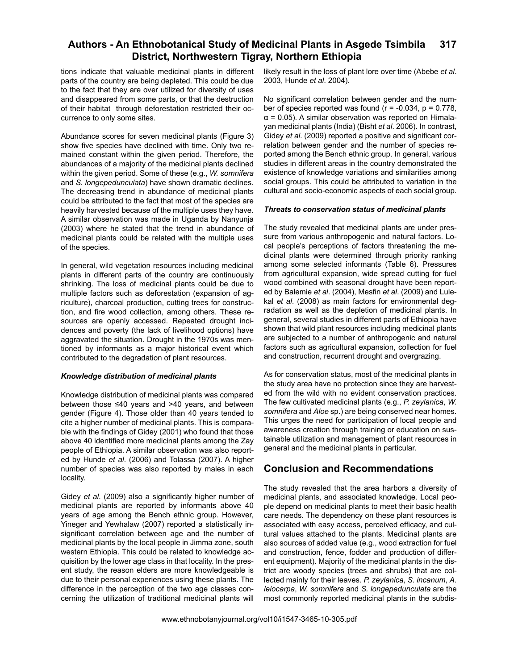tions indicate that valuable medicinal plants in different parts of the country are being depleted. This could be due to the fact that they are over utilized for diversity of uses and disappeared from some parts, or that the destruction of their habitat through deforestation restricted their occurrence to only some sites.

Abundance scores for seven medicinal plants (Figure 3) show five species have declined with time. Only two remained constant within the given period. Therefore, the abundances of a majority of the medicinal plants declined within the given period. Some of these (e.g., *W. somnifera*  and *S. longepedunculata*) have shown dramatic declines. The decreasing trend in abundance of medicinal plants could be attributed to the fact that most of the species are heavily harvested because of the multiple uses they have. A similar observation was made in Uganda by Nanyunja (2003) where he stated that the trend in abundance of medicinal plants could be related with the multiple uses of the species.

In general, wild vegetation resources including medicinal plants in different parts of the country are continuously shrinking. The loss of medicinal plants could be due to multiple factors such as deforestation (expansion of agriculture), charcoal production, cutting trees for construction, and fire wood collection, among others. These resources are openly accessed. Repeated drought incidences and poverty (the lack of livelihood options) have aggravated the situation. Drought in the 1970s was mentioned by informants as a major historical event which contributed to the degradation of plant resources.

#### *Knowledge distribution of medicinal plants*

Knowledge distribution of medicinal plants was compared between those ≤40 years and >40 years, and between gender (Figure 4). Those older than 40 years tended to cite a higher number of medicinal plants. This is comparable with the findings of Gidey (2001) who found that those above 40 identified more medicinal plants among the Zay people of Ethiopia. A similar observation was also reported by Hunde *et al*. (2006) and Tolassa (2007). A higher number of species was also reported by males in each locality.

Gidey *et al*. (2009) also a significantly higher number of medicinal plants are reported by informants above 40 years of age among the Bench ethnic group. However, Yineger and Yewhalaw (2007) reported a statistically insignificant correlation between age and the number of medicinal plants by the local people in Jimma zone, south western Ethiopia. This could be related to knowledge acquisition by the lower age class in that locality. In the present study, the reason elders are more knowledgeable is due to their personal experiences using these plants. The difference in the perception of the two age classes concerning the utilization of traditional medicinal plants will

likely result in the loss of plant lore over time (Abebe *et al*. 2003, Hunde *et al*. 2004).

No significant correlation between gender and the number of species reported was found  $(r = -0.034, p = 0.778,$  $\alpha$  = 0.05). A similar observation was reported on Himalayan medicinal plants (India) (Bisht *et al*. 2006). In contrast, Gidey *et al*. (2009) reported a positive and significant correlation between gender and the number of species reported among the Bench ethnic group. In general, various studies in different areas in the country demonstrated the existence of knowledge variations and similarities among social groups. This could be attributed to variation in the cultural and socio-economic aspects of each social group.

#### *Threats to conservation status of medicinal plants*

The study revealed that medicinal plants are under pressure from various anthropogenic and natural factors. Local people's perceptions of factors threatening the medicinal plants were determined through priority ranking among some selected informants (Table 6). Pressures from agricultural expansion, wide spread cutting for fuel wood combined with seasonal drought have been reported by Balemie *et al*. (2004), Mesfin *et al*. (2009) and Lulekal *et al*. (2008) as main factors for environmental degradation as well as the depletion of medicinal plants. In general, several studies in different parts of Ethiopia have shown that wild plant resources including medicinal plants are subjected to a number of anthropogenic and natural factors such as agricultural expansion, collection for fuel and construction, recurrent drought and overgrazing.

As for conservation status, most of the medicinal plants in the study area have no protection since they are harvested from the wild with no evident conservation practices. The few cultivated medicinal plants (e.g., *P. zeylanica*, *W. somnifera* and *Aloe* sp.) are being conserved near homes. This urges the need for participation of local people and awareness creation through training or education on sustainable utilization and management of plant resources in general and the medicinal plants in particular.

## **Conclusion and Recommendations**

The study revealed that the area harbors a diversity of medicinal plants, and associated knowledge. Local people depend on medicinal plants to meet their basic health care needs. The dependency on these plant resources is associated with easy access, perceived efficacy, and cultural values attached to the plants. Medicinal plants are also sources of added value (e.g., wood extraction for fuel and construction, fence, fodder and production of different equipment). Majority of the medicinal plants in the district are woody species (trees and shrubs) that are collected mainly for their leaves. *P. zeylanica*, *S. incanum*, *A. leiocarpa*, *W. somnifera* and *S. longepedunculata* are the most commonly reported medicinal plants in the subdis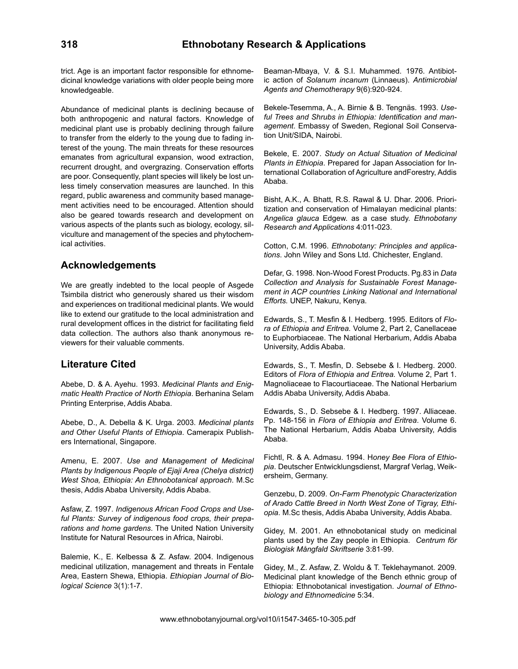trict. Age is an important factor responsible for ethnomedicinal knowledge variations with older people being more knowledgeable.

Abundance of medicinal plants is declining because of both anthropogenic and natural factors. Knowledge of medicinal plant use is probably declining through failure to transfer from the elderly to the young due to fading interest of the young. The main threats for these resources emanates from agricultural expansion, wood extraction, recurrent drought, and overgrazing. Conservation efforts are poor. Consequently, plant species will likely be lost unless timely conservation measures are launched. In this regard, public awareness and community based management activities need to be encouraged. Attention should also be geared towards research and development on various aspects of the plants such as biology, ecology, silviculture and management of the species and phytochemical activities.

## **Acknowledgements**

We are greatly indebted to the local people of Asgede Tsimbila district who generously shared us their wisdom and experiences on traditional medicinal plants. We would like to extend our gratitude to the local administration and rural development offices in the district for facilitating field data collection. The authors also thank anonymous reviewers for their valuable comments.

# **Literature Cited**

Abebe, D. & A. Ayehu. 1993. *Medicinal Plants and Enigmatic Health Practice of North Ethiopia*. Berhanina Selam Printing Enterprise, Addis Ababa.

Abebe, D., A. Debella & K. Urga. 2003. *Medicinal plants and Other Useful Plants of Ethiopia*. Camerapix Publishers International, Singapore.

Amenu, E. 2007. *Use and Management of Medicinal Plants by Indigenous People of Ejaji Area (Chelya district) West Shoa, Ethiopia: An Ethnobotanical approach*. M.Sc thesis, Addis Ababa University, Addis Ababa.

Asfaw, Z. 1997. *Indigenous African Food Crops and Useful Plants: Survey of indigenous food crops, their preparations and home gardens*. The United Nation University Institute for Natural Resources in Africa, Nairobi.

Balemie, K., E. Kelbessa & Z. Asfaw. 2004. Indigenous medicinal utilization, management and threats in Fentale Area, Eastern Shewa, Ethiopia. *Ethiopian Journal of Biological Science* 3(1):1-7.

Beaman-Mbaya, V. & S.I. Muhammed. 1976. Antibiotic action of *Solanum incanum* (Linnaeus). *Antimicrobial Agents and Chemotherapy* 9(6):920-924.

Bekele-Tesemma, A., A. Birnie & B. Tengnäs. 1993. *Useful Trees and Shrubs in Ethiopia: Identification and management*. Embassy of Sweden, Regional Soil Conservation Unit/SIDA, Nairobi.

Bekele, E. 2007. *Study on Actual Situation of Medicinal Plants in Ethiopia*. Prepared for Japan Association for International Collaboration of Agriculture andForestry, Addis Ababa.

Bisht, A.K., A. Bhatt, R.S. Rawal & U. Dhar. 2006. Prioritization and conservation of Himalayan medicinal plants: *Angelica glauca* Edgew. as a case study. *Ethnobotany Research and Applications* 4:011-023.

Cotton, C.M. 1996. *Ethnobotany: Principles and applications*. John Wiley and Sons Ltd. Chichester, England.

Defar, G. 1998. Non-Wood Forest Products. Pg.83 in *Data Collection and Analysis for Sustainable Forest Management in ACP countries Linking National and International Efforts.* UNEP, Nakuru, Kenya.

Edwards, S., T. Mesfin & I. Hedberg. 1995. Editors of *Flora of Ethiopia and Eritrea.* Volume 2, Part 2, Canellaceae to Euphorbiaceae. The National Herbarium, Addis Ababa University, Addis Ababa.

Edwards, S., T. Mesfin, D. Sebsebe & I. Hedberg. 2000. Editors of *Flora of Ethiopia and Eritrea.* Volume 2, Part 1. Magnoliaceae to Flacourtiaceae. The National Herbarium Addis Ababa University, Addis Ababa.

Edwards, S., D. Sebsebe & I. Hedberg. 1997. Alliaceae. Pp. 148-156 in *Flora of Ethiopia and Eritrea*. Volume 6. The National Herbarium, Addis Ababa University, Addis Ababa.

Fichtl, R. & A. Admasu. 1994. H*oney Bee Flora of Ethiopia*. Deutscher Entwicklungsdienst, Margraf Verlag, Weikersheim, Germany.

Genzebu, D. 2009. *On-Farm Phenotypic Characterization of Arado Cattle Breed in North West Zone of Tigray, Ethiopia*. M.Sc thesis, Addis Ababa University, Addis Ababa.

Gidey, M. 2001. An ethnobotanical study on medicinal plants used by the Zay people in Ethiopia. *Centrum för Biologisk Mångfald Skriftserie* 3:81-99.

Gidey, M., Z. Asfaw, Z. Woldu & T. Teklehaymanot. 2009. Medicinal plant knowledge of the Bench ethnic group of Ethiopia: Ethnobotanical investigation. *Journal of Ethnobiology and Ethnomedicine* 5:34.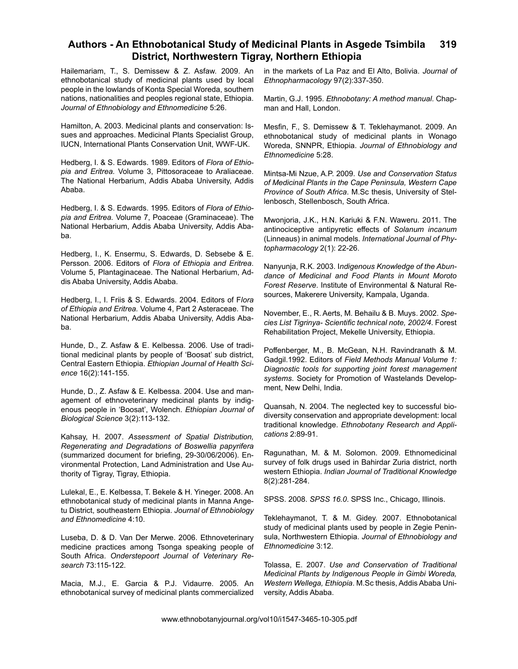Hailemariam, T., S. Demissew & Z. Asfaw. 2009. An ethnobotanical study of medicinal plants used by local people in the lowlands of Konta Special Woreda, southern nations, nationalities and peoples regional state, Ethiopia. *Journal of Ethnobiology and Ethnomedicine* 5:26.

Hamilton, A. 2003. Medicinal plants and conservation: Issues and approaches. Medicinal Plants Specialist Group, IUCN, International Plants Conservation Unit, WWF-UK.

Hedberg, I. & S. Edwards. 1989. Editors of *Flora of Ethiopia and Eritrea.* Volume 3, Pittosoraceae to Araliaceae. The National Herbarium, Addis Ababa University, Addis Ababa.

Hedberg, I. & S. Edwards. 1995. Editors of *Flora of Ethiopia and Eritrea.* Volume 7, Poaceae (Graminaceae). The National Herbarium, Addis Ababa University, Addis Ababa.

Hedberg, I., K. Ensermu, S. Edwards, D. Sebsebe & E. Persson. 2006. Editors of *Flora of Ethiopia and Eritrea*. Volume 5, Plantaginaceae. The National Herbarium, Addis Ababa University, Addis Ababa.

Hedberg, I., I. Friis & S. Edwards. 2004. Editors of F*lora of Ethiopia and Eritrea.* Volume 4, Part 2 Asteraceae. The National Herbarium, Addis Ababa University, Addis Ababa.

Hunde, D., Z. Asfaw & E. Kelbessa. 2006. Use of traditional medicinal plants by people of 'Boosat' sub district, Central Eastern Ethiopia. *Ethiopian Journal of Health Science* 16(2):141-155.

Hunde, D., Z. Asfaw & E. Kelbessa. 2004. Use and management of ethnoveterinary medicinal plants by indigenous people in 'Boosat', Wolench. *Ethiopian Journal of Biological Science* 3(2):113-132.

Kahsay, H. 2007. *Assessment of Spatial Distribution, Regenerating and Degradations of Boswellia papyrifera*  (summarized document for briefing, 29-30/06/2006). Environmental Protection, Land Administration and Use Authority of Tigray, Tigray, Ethiopia.

Lulekal, E., E. Kelbessa, T. Bekele & H. Yineger. 2008. An ethnobotanical study of medicinal plants in Manna Angetu District, southeastern Ethiopia. *Journal of Ethnobiology and Ethnomedicine* 4:10.

Luseba, D. & D. Van Der Merwe. 2006. Ethnoveterinary medicine practices among Tsonga speaking people of South Africa. *Onderstepoort Journal of Veterinary Research* 73:115-122.

Macia, M.J., E. Garcia & P.J. Vidaurre. 2005. An ethnobotanical survey of medicinal plants commercialized in the markets of La Paz and El Alto, Bolivia. *Journal of Ethnopharmacology* 97(2):337-350.

Martin, G.J. 1995. *Ethnobotany: A method manual*. Chapman and Hall, London.

Mesfin, F., S. Demissew & T. Teklehaymanot. 2009. An ethnobotanical study of medicinal plants in Wonago Woreda, SNNPR, Ethiopia. *Journal of Ethnobiology and Ethnomedicine* 5:28.

Mintsa-Mi Nzue, A.P. 2009. *Use and Conservation Status of Medicinal Plants in the Cape Peninsula, Western Cape Province of South Africa*. M.Sc thesis, University of Stellenbosch, Stellenbosch, South Africa.

Mwonjoria, J.K., H.N. Kariuki & F.N. Waweru. 2011. The antinociceptive antipyretic effects of *Solanum incanum* (Linneaus) in animal models. *International Journal of Phytopharmacology* 2(1): 22-26.

Nanyunja, R.K. 2003. I*ndigenous Knowledge of the Abundance of Medicinal and Food Plants in Mount Moroto Forest Reserve*. Institute of Environmental & Natural Resources, Makerere University, Kampala, Uganda.

November, E., R. Aerts, M. Behailu & B. Muys. 2002. *Species List Tigrinya- Scientific technical note, 2002/4*. Forest Rehabilitation Project, Mekelle University, Ethiopia.

Poffenberger, M., B. McGean, N.H. Ravindranath & M. Gadgil.1992. Editors of *Field Methods Manual Volume 1: Diagnostic tools for supporting joint forest management systems*. Society for Promotion of Wastelands Development, New Delhi, India.

Quansah, N. 2004. The neglected key to successful biodiversity conservation and appropriate development: local traditional knowledge. *Ethnobotany Research and Applications* 2:89-91.

Ragunathan, M. & M. Solomon. 2009. Ethnomedicinal survey of folk drugs used in Bahirdar Zuria district, north western Ethiopia. *Indian Journal of Traditional Knowledge* 8(2):281-284.

SPSS. 2008. *SPSS 16.0*. SPSS Inc., Chicago, Illinois.

Teklehaymanot, T. & M. Gidey. 2007. Ethnobotanical study of medicinal plants used by people in Zegie Peninsula, Northwestern Ethiopia. *Journal of Ethnobiology and Ethnomedicine* 3:12.

Tolassa, E. 2007. *Use and Conservation of Traditional Medicinal Plants by Indigenous People in Gimbi Woreda, Western Wellega, Ethiopia*. M.Sc thesis, Addis Ababa University, Addis Ababa.